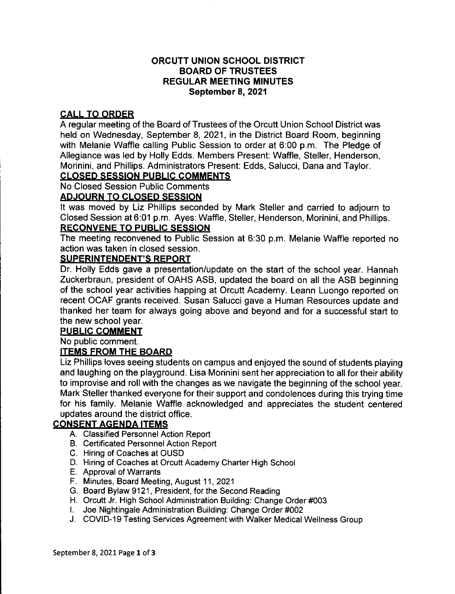## **ORCUTT UNION SCHOOL DISTRICT BOARD OF TRUSTEES REGULAR MEETING MINUTES** September 8, 2021

## **CALL TO ORDER**

A regular meeting of the Board of Trustees of the Orcutt Union School District was held on Wednesday, September 8, 2021, in the District Board Room, beginning with Melanie Waffle calling Public Session to order at 6:00 p.m. The Pledge of Allegiance was led by Holly Edds. Members Present: Waffle, Steller, Henderson, Morinini, and Phillips, Administrators Present; Edds, Salucci, Dana and Taylor,

# **CLOSED SESSION PUBLIC COMMENTS**

No Closed Session Public Comments

### **ADJOURN TO CLOSED SESSION**

It was moved by Liz Phillips seconded by Mark Steller and carried to adjourn to Closed Session at 6:01 p.m. Ayes: Waffle, Steller, Henderson, Morinini, and Phillips, **RECONVENE TO PUBLIC SESSION** 

The meeting reconvened to Public Session at 6:30 p.m. Melanie Waffle reported no action was taken in closed session.

### **SUPERINTENDENT'S REPORT**

Dr. Holly Edds gave a presentation/update on the start of the school year. Hannah Zuckerbraun, president of OAHS ASB, updated the board on all the ASB beginning of the school year activities happing at Orcutt Academy. Leann Luongo reported on recent OCAF grants received. Susan Salucci gave a Human Resources update and thanked her team for always going above and beyond and for a successful start to the new school year.

### **PUBLIC COMMENT**

No public comment.

### **ITEMS FROM THE BOARD**

Liz Phillips loves seeing students on campus and enjoyed the sound of students playing and laughing on the playground. Lisa Morinini sent her appreciation to all for their ability to improvise and roll with the changes as we navigate the beginning of the school year. Mark Steller thanked everyone for their support and condolences during this trying time for his family. Melanie Waffle acknowledged and appreciates the student centered updates around the district office.

# **CONSENT AGENDA ITEMS**

- A. Classified Personnel Action Report
- B. Certificated Personnel Action Report
- C. Hiring of Coaches at OUSD
- D. Hiring of Coaches at Orcutt Academy Charter High School
- E. Approval of Warrants
- F. Minutes, Board Meeting, August 11, 2021
- G. Board Bylaw 9121, President, for the Second Reading
- H. Orcutt Jr. High School Administration Building: Change Order #003
- I. Joe Nightingale Administration Building: Change Order #002
- J. COVID-19 Testing Services Agreement with Walker Medical Wellness Group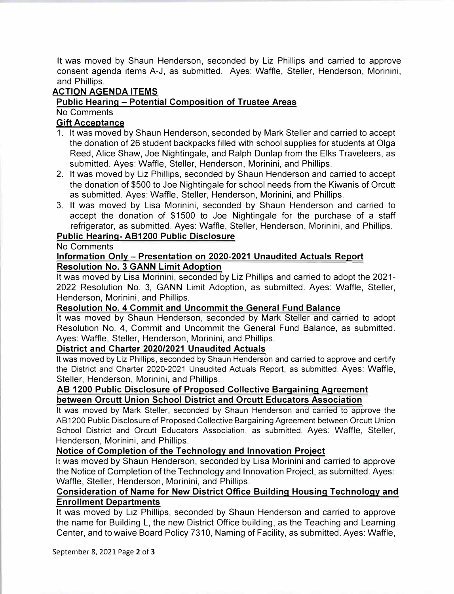It was moved by Shaun Henderson, seconded by Liz Phillips and carried to approve consent agenda items A-J, as submitted. Ayes: Waffle, Steller, Henderson, Morinini, and Phillips.

## **ACTION AGENDA ITEMS**

#### **Public Hearing - Potential Composition of Trustee Areas**

No Comments

### **Gift Acceptance**

- 1. It was moved by Shaun Henderson, seconded by Mark Steller and carried to accept the donation of 26 student backpacks filled with school supplies for students at Olga Reed, Alice Shaw, Joe Nightingale, and Ralph Dunlap from the Elks Traveleers, as submitted. Ayes: Waffle, Steller, Henderson, Morinini, and Phillips.
- 2. It was moved by Liz Phillips, seconded by Shaun Henderson and carried to accept the donation of \$500 to Joe Nightingale for school needs from the Kiwanis of Orcutt as submitted. Ayes: Waffle, Steller, Henderson, Morinini, and Phillips.
- 3. It was moved by Lisa Morinini, seconded by Shaun Henderson and carried to accept the donation of \$1500 to Joe Nightingale for the purchase of a staff refrigerator, as submitted. Ayes: Waffle, Steller, Henderson, Morinini, and Phillips.

# **Public Hearing- AB1200 Public Disclosure**

#### No Comments

#### **Information Only - Presentation on 2020-2021 Unaudited Actuals Report Resolution No. 3 GANN Limit Adoption**

It was moved by Lisa Morinini, seconded by Liz Phillips and carried to adopt the 2021- 2022 Resolution No. 3, GANN Limit Adoption, as submitted. Ayes: Waffle, Steller, Henderson, Morinini, and Phillips.

#### **Resolution No. 4 Commit and Uncommit the General Fund Balance**

It was moved by Shaun Henderson, seconded by Mark Steller and carried to adopt Resolution No. 4, Commit and Uncommit the General Fund Balance, as submitted. Ayes: Waffle, Steller, Henderson, Morinini, and Phillips.

#### **District and Charter 2020/2021 Unaudited Actuals**

It was moved by Liz Phillips, seconded by Shaun Henderson and carried to approve and certify the District and Charter 2020-2021 Unaudited Actuals Report, as submitted. Ayes: Waffle, Steller, Henderson, Morinini, and Phillips.

## **AB 1200 Public Disclosure of Proposed Collective Bargaining Agreement between Orcutt Union School District and Orcutt Educators Association**

It was moved by Mark Steller, seconded by Shaun Henderson and carried to approve the AB1200 Public Disclosure of Proposed Collective Bargaining Agreement between Orcutt Union School District and Orcutt Educators Association, as submitted. Ayes: Waffle, Steller, Henderson, Morinini, and Phillips.

#### **Notice of Completion of the Technology and Innovation Project**

It was moved by Shaun Henderson, seconded by Lisa Morinini and carried to approve the Notice of Completion of the Technology and Innovation Project, as submitted. Ayes: Waffle, Steller, Henderson, Morinini, and Phillips.

## **Consideration of Name for New District Office Building Housing Technology and Enrollment Departments**

It was moved by Liz Phillips, seconded by Shaun Henderson and carried to approve the name for Building L, the new District Office building, as the Teaching and Learning Center, and to waive Board Policy 7310, Naming of Facility, as submitted. Ayes: Waffle,